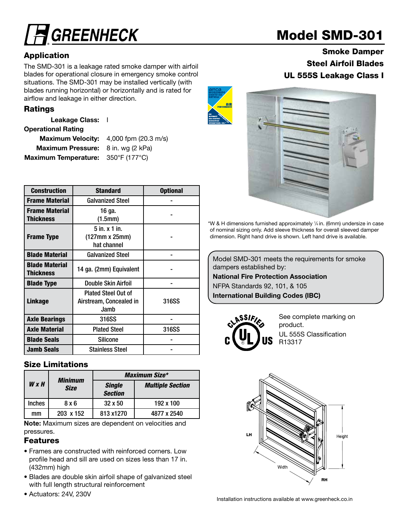# **GREENHECK**

### Application

The SMD-301 is a leakage rated smoke damper with airfoil blades for operational closure in emergency smoke control situations. The SMD-301 may be installed vertically (with blades running horizontal) or horizontally and is rated for airflow and leakage in either direction.

### Ratings

Leakage Class: |

#### Operational Rating

Maximum Velocity: 4,000 fpm (20.3 m/s) Maximum Pressure: 8 in. wg (2 kPa) Maximum Temperature: 350°F (177°C)

| <b>Construction</b>                | <b>Standard</b>                                               | <b>Optional</b> |
|------------------------------------|---------------------------------------------------------------|-----------------|
| <b>Frame Material</b>              | <b>Galvanized Steel</b>                                       |                 |
| <b>Frame Material</b><br>Thickness | 16 ga.<br>(1.5mm)                                             |                 |
| <b>Frame Type</b>                  | $5$ in. $x$ 1 in.<br>$(127mm \times 25mm)$<br>hat channel     |                 |
| <b>Blade Material</b>              | <b>Galvanized Steel</b>                                       |                 |
| <b>Blade Material</b><br>Thickness | 14 ga. (2mm) Equivalent                                       |                 |
| <b>Blade Type</b>                  | Double Skin Airfoil                                           |                 |
| <b>Linkage</b>                     | <b>Plated Steel Out of</b><br>Airstream, Concealed in<br>Jamb | 316SS           |
| <b>Axle Bearings</b>               | 316SS                                                         |                 |
| <b>Axle Material</b>               | <b>Plated Steel</b>                                           | 316SS           |
| <b>Blade Seals</b>                 | <b>Silicone</b>                                               |                 |
| <b>Jamb Seals</b>                  | <b>Stainless Steel</b>                                        |                 |

### Size Limitations

|               | Minimum          | <b>Maximum Size*</b>            |                         |  |  |  |
|---------------|------------------|---------------------------------|-------------------------|--|--|--|
| $W \times H$  | <b>Size</b>      | <b>Single</b><br><b>Section</b> | <b>Multiple Section</b> |  |  |  |
| <b>Inches</b> | 8 x 6            | $32 \times 50$                  | 192 x 100               |  |  |  |
| mm            | $203 \times 152$ | 813 x1270                       | 4877 x 2540             |  |  |  |

Note: Maximum sizes are dependent on velocities and pressures. The contract of the contract of the contract of the contract of the contract of the contract of the contract of the contract of the contract of the contract of the contract of the contract of the contract of the

#### Features

- Frames are constructed with reinforced corners. Low profile head and sill are used on sizes less than 17 in. (432mm) high
- Blades are double skin airfoil shape of galvanized steel with full length structural reinforcement
- Actuators: 24V, 230V



### Smoke Damper Steel Airfoil Blades UL 555S Leakage Class I



\*W & H dimensions furnished approximately 1 ⁄4 in. (6mm) undersize in case of nominal sizing only. Add sleeve thickness for overall sleeved damper dimension. Right hand drive is shown. Left hand drive is available.

Model SMD-301 meets the requirements for smoke dampers established by:

National Fire Protection Association

NFPA Standards 92, 101, & 105

International Building Codes (IBC)



See complete marking on product. UL 555S Classification R13317



Installation instructions available at www.greenheck.co.in

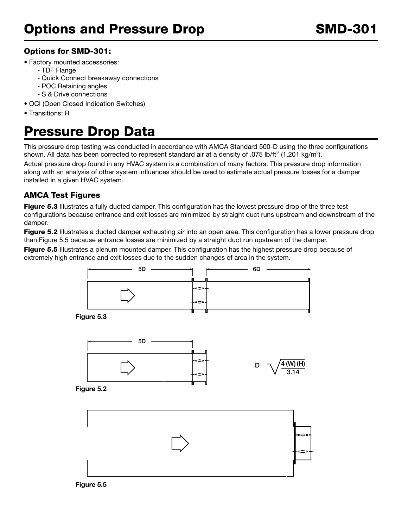### Options for SMD-301:

- Factory mounted accessories:
	- TDF Flange
	- Quick Connect breakaway connections
	- POC Retaining angles
	- S & Drive connections
- OCI (Open Closed Indication Switches)
- Transitions: R

# Pressure Drop Data

This pressure drop testing was conducted in accordance with AMCA Standard 500-D using the three configurations shown. All data has been corrected to represent standard air at a density of .075 lb/ft<sup>3</sup> (1.201 kg/m<sup>3</sup>).

Actual pressure drop found in any HVAC system is a combination of many factors. This pressure drop information along with an analysis of other system influences should be used to estimate actual pressure losses for a damper installed in a given HVAC system.

### AMCA Test Figures

Figure 5.3 Illustrates a fully ducted damper. This configuration has the lowest pressure drop of the three test configurations because entrance and exit losses are minimized by straight duct runs upstream and downstream of the damper.

**Figure 5.2** Illustrates a ducted damper exhausting air into an open area. This configuration has a lower pressure drop than Figure 5.5 because entrance losses are minimized by a straight duct run upstream of the damper.

Figure 5.5 Illustrates a plenum mounted damper. This configuration has the highest pressure drop because of extremely high entrance and exit losses due to the sudden changes of area in the system.



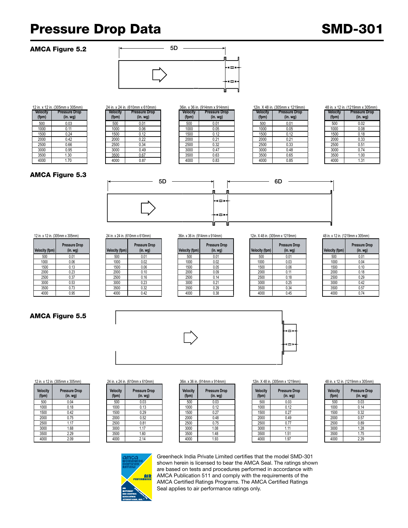## Pressure Drop Data SMD-301

#### AMCA Figure 5.2



| 12 in. x 12 in. (305mm x 305mm) |                                       |  |
|---------------------------------|---------------------------------------|--|
| <b>Velocity</b><br>(fpm)        | <b>Pressure Drop</b><br>$(in.$ wg $)$ |  |
|                                 |                                       |  |
| 500                             | 0.03                                  |  |
| 1000                            | 0.11                                  |  |
| 1500                            | 0.24                                  |  |
| 2000                            | 0.42                                  |  |
| 2500                            | 0.66                                  |  |
| 3000                            | 0.95                                  |  |
| 3500                            | 1.30                                  |  |
| 4000                            | 1.70                                  |  |

| 24 in. x 24 in. (610mm x 610mm) |                                       |  |  |
|---------------------------------|---------------------------------------|--|--|
| <b>Velocity</b><br>(fpm)        | <b>Pressure Drop</b><br>$(in.$ wg $)$ |  |  |
| 500                             | 0.01                                  |  |  |
| 1000                            | 0.06                                  |  |  |
| 1500                            | 0.12                                  |  |  |
| 2000                            | 0.22                                  |  |  |
| 2500                            | 0.34                                  |  |  |
| 3000                            | 0.49                                  |  |  |
| 3500                            | 0.67                                  |  |  |
| 4000                            | 0.87                                  |  |  |

|         | $\overline{11}$ . A 12 111. (909) $\overline{111}$ 111 A 909 $\overline{111}$ 1111 |                 | $2 + 111.$ A $2 + 111.$ (0 TUTTER A 0 TUTTER) |                 | $0.0111.$ A $0.0111.$ ( $0.17111111.$ A $0.17111111$ |                 | $1200.7370$ m. (9990000 $\lambda$ 12 190000 | TU III. A IL III. IIL IVIIIIII A |          |
|---------|------------------------------------------------------------------------------------|-----------------|-----------------------------------------------|-----------------|------------------------------------------------------|-----------------|---------------------------------------------|----------------------------------|----------|
| elocity | <b>Pressure Drop</b>                                                               | <b>Velocity</b> | <b>Pressure Drop</b>                          | <b>Velocity</b> | Pressure Drop                                        | <b>Velocity</b> | <b>Pressure Drop</b>                        | <b>Velocity</b>                  | Pressure |
| (fpm)   | (in. <i>wg</i> )                                                                   | (fpm)           | (in. <i>wg</i> )                              | (fpm)           | (in.wg)                                              | (fpm)           | (in. <i>wg</i> )                            | (fpm)                            | (in. w)  |
| 500     | 0.03                                                                               | 500             | 0.01                                          | 500             | 0.01                                                 | 500             | 0.01                                        | 500                              | 0.02     |
| 1000    | 0.11                                                                               | 1000            | 0.06                                          | 1000            | 0.05                                                 | 1000            | 0.05                                        | 1000                             | 0.08     |
| 1500    | 0.24                                                                               | 1500            | 0.12                                          | 1500            | 0.12                                                 | 1500            | 0.12                                        | 1500                             | 0.18     |
| 2000    | 0.42                                                                               | 2000            | 0.22                                          | 2000            | 0.21                                                 | 2000            | 0.21                                        | 2000                             | 0.33     |
| 2500    | 0.66                                                                               | 2500            | 0.34                                          | 2500            | 0.32                                                 | 2500            | 0.33                                        | 2500                             | 0.51     |
| 3000    | 0.95                                                                               | 3000            | 0.49                                          | 3000            | 0.47                                                 | 3000            | 0.48                                        | 3000                             | 0.74     |
| 3500    | 1.30                                                                               | 3500            | 0.67                                          | 3500            | 0.63                                                 | 3500            | 0.65                                        | 3500                             | 1.00     |
| 4000    | 1.70                                                                               | 4000            | 0.87                                          | 4000            | 0.83                                                 | 4000            | 0.85                                        | 4000                             | 1.31     |
|         |                                                                                    |                 |                                               |                 |                                                      |                 |                                             |                                  |          |

|                          | 36in. x 36 in. (914mm x 914mm)           |                   | 12in. X 48 in. (305mm x 1219mm)          |                   | 48 in. x 12 in. (1219mm x 305mm)         |
|--------------------------|------------------------------------------|-------------------|------------------------------------------|-------------------|------------------------------------------|
| <b>Velocity</b><br>(fpm) | <b>Pressure Drop</b><br>(in. <i>wq</i> ) | Velocity<br>(fpm) | <b>Pressure Drop</b><br>(in. <i>wq</i> ) | Velocity<br>(fpm) | <b>Pressure Drop</b><br>(in. <i>wq</i> ) |
| 500                      | 0.01                                     | 500               | 0.01                                     | 500               | 0.02                                     |
| 1000                     | 0.05                                     | 1000              | 0.05                                     | 1000              | 0.08                                     |
| 1500                     | 0.12                                     | 1500              | 0.12                                     | 1500              | 0.18                                     |
| 2000                     | 0.21                                     | 2000              | 0.21                                     | 2000              | 0.33                                     |
| 2500                     | 0.32                                     | 2500              | 0.33                                     | 2500              | 0.51                                     |
| 3000                     | 0.47                                     | 3000              | 0.48                                     | 3000              | 0.74                                     |
| 3500                     | 0.63                                     | 3500              | 0.65                                     | 3500              | 1.00                                     |
| 4000                     | 0.83                                     | 4000              | 0.85                                     | 4000              | 1.31                                     |

| <b>Velocity</b><br>(fpm) | <b>Pressure Drop</b><br>$(in.$ wg $)$ |
|--------------------------|---------------------------------------|
| 500                      | 0.02                                  |
| 1000                     | 0.08                                  |
| 1500                     | 0.18                                  |
| 2000                     | 0.33                                  |
| 2500                     | 0.51                                  |
| 3000                     | 0.74                                  |
| 3500                     | 1.00                                  |
| 4000                     | 1.31                                  |

#### AMCA Figure 5.3



| <b>Velocity (fpm)</b> | <b>Pressure Drop</b><br>$(in.$ wg $)$ |
|-----------------------|---------------------------------------|
| 500                   | 0.01                                  |
| 1000                  | 0.06                                  |
| 1500                  | 0.13                                  |
| 2000                  | 0.23                                  |
| 2500                  | 0.37                                  |
| 3000                  | 0.53                                  |
| 3500                  | 0.73                                  |
| 4000                  | 0.95                                  |

#### 5D *<u>Kelocity</u>* (fpm) **Pressure Drop**   $(in. wg)$ 500 0.01 500 0.01 500 0.01 500 0.01 500 0.01 1000 | 0.06 | 1000 | 0.02 | 1000 | 0.02 | 1000 | 0.03 | 1000 | 0.04 1500 | 1500 | 1500 | 1500 | 1500 | 1500 | 1500 | 1500 | 1500 | 1500 | 1500 | 1500 | 1500 | 1500 | 1500 | 1500 | 2000 0.23 2000 0.10 2000 0.09 2000 0.11 2000 0.18 2500 | U.37 | | 2500 | U.16 | | 2500 | U.14 | | 2500 | U.18 | | 2500 | U.29 3000 | 0.53 | | 3000 | 0.23 | | 3000 | 0.21 | | 3000 | 0.25 | | 3000 | 0.42 3500 | 0.73 | | 3500 | 0.32 | | 3500 | 0.29 | | 3500 | 0.34 | | 3500 | 0.57 4000 | 0.95 | | 4000 | 0.42 | | 4000 | 0.38 | | 4000 | 0.45 | | 4000 | 0.74 7

| Velocity (fpm) | <b>Pressure Drop</b><br>(in. <i>wg</i> ) | <b>Velocity (fpm)</b> |
|----------------|------------------------------------------|-----------------------|
| 500            | 0.01                                     | 500                   |
| 1000           | 0.02                                     | 1000                  |
| 1500           | 0.05                                     | 1500                  |
| 2000           | 0.09                                     | 2000                  |
| 2500           | 0.14                                     | 2500                  |
| 3000           | 0.21                                     | 3000                  |
| 3500           | 0.29                                     | 3500                  |
| 4000           | 0.38                                     | 4000                  |

| IZIN. A 48 IN. (JUSHIM X IZ IVININ)      | 48 III. X IZ III. (   |
|------------------------------------------|-----------------------|
| <b>Pressure Drop</b><br>(in. <i>wg</i> ) | <b>Velocity (fpm)</b> |
| 0.01                                     | 500                   |
| 0.03                                     | 1000                  |
| 0.06                                     | 1500                  |
| 0.11                                     | 2000                  |
| 0.18                                     | 2500                  |
| 0.25                                     | 3000                  |
| 0.34                                     | 3500                  |
| 0.45                                     | 4000                  |
|                                          |                       |

12 in. x 12 in. (305mm x 305mm) 24 in. x 24 in. (610mm x 610mm) 36in. x 36 in. (914mm x 914mm) 12in. X 48 in. (305mm x 1219mm) 48 in. x 12 in. (1219mm x 305mm)

| <b>Velocity (fpm)</b> | <b>Pressure Drop</b><br>$(in.$ wg $)$ |
|-----------------------|---------------------------------------|
| 500                   | 0.01                                  |
| 1000                  | 0.04                                  |
| 1500                  | 0.10                                  |
| 2000                  | 0.18                                  |
| 2500                  | 0.29                                  |
| 3000                  | 0.42                                  |
| 3500                  | 0.57                                  |
| 4000                  | 0.74                                  |



12 in. x 12 in. (305mm x 305mm) 24 in. x 24 in. (610mm x 610mm) 36in. x 36 in. (914mm x 914mm) 12in. X 48 in. (305mm x 1219mm) 48 in. x 12 in. (1219mm x 305mm)

AMCA Figure 5.5

| Velocity<br>(fpm) | <b>Pressure Drop</b><br>$(in.$ wg $)$ |
|-------------------|---------------------------------------|
| 500               | 0.04                                  |
| 1000              | 0.18                                  |
| 1500              | 0.42                                  |
| 2000              | 0.75                                  |
| 2500              | 1.17                                  |
| 3000              | 1.68                                  |
| 3500              | 2.29                                  |
| 4000              | 2.09                                  |

| 500<br>0.03<br>1000<br>0.13<br>1500<br>0.29<br>2000<br>0.52 |
|-------------------------------------------------------------|
|                                                             |
|                                                             |
|                                                             |
|                                                             |
| 2500<br>0.81                                                |
| 3000<br>1.17                                                |
| 3500<br>1.60                                                |
| 4000<br>2.14                                                |

| II. A TA III. (JUJIHIII A JUJIHIII <i>)</i> |                          |                                  |                                              |                          |                                 |                                                      |                          |                                  |                                                    |                          | <b>TUBLA IZ BL (IZ IJBIBLA J</b> |
|---------------------------------------------|--------------------------|----------------------------------|----------------------------------------------|--------------------------|---------------------------------|------------------------------------------------------|--------------------------|----------------------------------|----------------------------------------------------|--------------------------|----------------------------------|
| <b>Pressure Drop</b><br>(in. wg)            | <b>Velocity</b><br>(fpm) | <b>Pressure Drop</b><br>(in. wg) |                                              | <b>Velocity</b><br>(fpm) | <b>Pressure Drop</b><br>(in.wg) |                                                      | <b>Velocity</b><br>(fpm) | <b>Pressure Drop</b><br>(in. wg) |                                                    | <b>Velocity</b><br>(fpm) | Pressure<br>$(in.$ W             |
| 0.04                                        | 500                      | 0.03                             |                                              | 500                      | 0.03                            |                                                      | 500                      | 0.03                             |                                                    | 500                      | 0.03                             |
| 0.18                                        | 1000                     | 0.13                             |                                              | 1000                     | 0.12                            |                                                      | 1000                     | 0.12                             |                                                    | 1000                     | 0.14                             |
| 0.42                                        | 1500                     | 0.29                             |                                              | 1500                     | 0.27                            |                                                      | 1500                     | 0.27                             |                                                    | 1500                     | 0.32                             |
| 0.75                                        | 2000                     | 0.52                             |                                              | 2000                     | 0.48                            |                                                      | 2000                     | 0.49                             |                                                    | 2000                     | 0.57                             |
| .17                                         | 2500                     | 0.81                             |                                              | 2500                     | 0.75                            |                                                      | 2500                     | 0.77                             |                                                    | 2500                     | 0.89                             |
| 1.68                                        | 3000                     | 1.17                             |                                              | 3000                     | 1.08                            |                                                      | 3000                     | 1.11                             |                                                    | 3000                     | 1.28                             |
| 2.29                                        | 3500                     | 1.60                             |                                              | 3500                     | 1.48                            |                                                      | 3500                     | 1.51                             |                                                    | 3500                     | 1.75                             |
| 2.09                                        | 4000                     | 2.14                             |                                              | 4000                     | 1.93                            |                                                      | 4000                     | 1.97                             |                                                    | 4000                     | 2.29                             |
|                                             |                          |                                  | $2 + 11$ . A $2 + 11$ . (V FORTH A V FORTHL) |                          |                                 | <b>UUIII. A UU IIII. (JI HIIIIIII A JI HIIIIII</b> I |                          |                                  | <b>IZIII. A TU III. (JUJIIIIII A TZ I JIIIIII)</b> |                          |                                  |

| <b>Velocity</b><br>(fpm) | <b>Pressure Drop</b><br>$(in.$ wg $)$ |
|--------------------------|---------------------------------------|
| 500                      | 0.03                                  |
| 1000                     | 0.12                                  |
| 1500                     | 0.27                                  |
| 2000                     | 0.49                                  |
| 2500                     | 0.77                                  |
| 3000                     | 1.11                                  |
| 3500                     | 1.51                                  |
| 4000                     | 1.97                                  |

| <b>Velocity</b><br>(fpm) | <b>Pressure Drop</b><br>$(in.$ wg $)$ |
|--------------------------|---------------------------------------|
| 500                      | 0.03                                  |
| 1000                     | 0.14                                  |
| 1500                     | 0.32                                  |
| 2000                     | 0.57                                  |
| 2500                     | 0.89                                  |
| 3000                     | 1.28                                  |
| 3500                     | 1.75                                  |
| 4000                     | 2.29                                  |



Greenheck India Private Limited certifies that the model SMD-301 shown herein is licensed to bear the AMCA Seal. The ratings shown are based on tests and procedures performed in accordance with AMCA Publication 511 and comply with the requirements of the AMCA Certified Ratings Programs. The AMCA Certified Ratings Seal applies to air performance ratings only.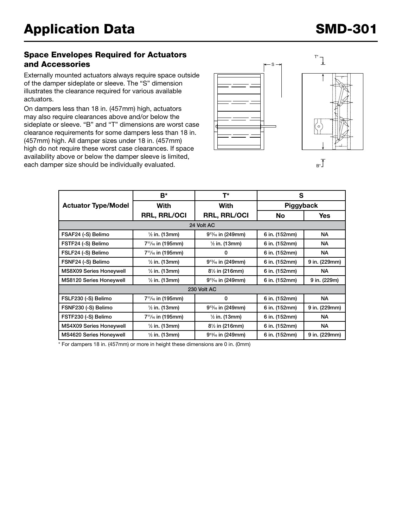#### Space Envelopes Required for Actuators and Accessories

Externally mounted actuators always require space outside of the damper sideplate or sleeve. The "S" dimension illustrates the clearance required for various available actuators.

On dampers less than 18 in. (457mm) high, actuators may also require clearances above and/or below the sideplate or sleeve. "B" and "T" dimensions are worst case clearance requirements for some dampers less than 18 in. (457mm) high. All damper sizes under 18 in. (457mm) high do not require these worst case clearances. If space availability above or below the damper sleeve is limited, each damper size should be individually evaluated.





 $B^*$ 

|                                | B*                                         | T*                                       | S             |               |  |  |  |
|--------------------------------|--------------------------------------------|------------------------------------------|---------------|---------------|--|--|--|
| <b>Actuator Type/Model</b>     | With                                       | With                                     | Piggyback     |               |  |  |  |
|                                | <b>RRL, RRL/OCI</b>                        | <b>RRL, RRL/OCI</b>                      | No            | <b>Yes</b>    |  |  |  |
| 24 Volt AC                     |                                            |                                          |               |               |  |  |  |
| FSAF24 (-S) Belimo             | $\frac{1}{2}$ in. (13mm)                   | $9^{13}/_{16}$ in (249mm)                | 6 in. (152mm) | <b>NA</b>     |  |  |  |
| FSTF24 (-S) Belimo             | $7^{11}/_{16}$ in (195mm)                  | $\frac{1}{2}$ in. (13mm)                 | 6 in. (152mm) | <b>NA</b>     |  |  |  |
| FSLF24 (-S) Belimo             | 7 <sup>11</sup> / <sub>16</sub> in (195mm) | 0                                        | 6 in. (152mm) | NA.           |  |  |  |
| FSNF24 (-S) Belimo             | $\frac{1}{2}$ in. (13mm)                   | $9^{13}/_{16}$ in (249mm)                | 6 in. (152mm) | 9 in. (229mm) |  |  |  |
| MS8X09 Series Honeywell        | $\frac{1}{2}$ in. (13mm)                   | $8\frac{1}{2}$ in (216mm)                | 6 in. (152mm) | NА            |  |  |  |
| <b>MS8120 Series Honeywell</b> | $\frac{1}{2}$ in. (13mm)                   | $9^{13}/_{16}$ in (249mm)                | 6 in. (152mm) | 9 in. (229m)  |  |  |  |
| 230 Volt AC                    |                                            |                                          |               |               |  |  |  |
| FSLF230 (-S) Belimo            | $7^{11}/_{16}$ in (195mm)                  | 0                                        | 6 in. (152mm) | <b>NA</b>     |  |  |  |
| FSNF230 (-S) Belimo            | $\frac{1}{2}$ in. (13mm)                   | $9^{13}/_{16}$ in (249mm)                | 6 in. (152mm) | 9 in. (229mm) |  |  |  |
| FSTF230 (-S) Belimo            | 7 <sup>11</sup> / <sub>16</sub> in (195mm) | $\frac{1}{2}$ in. (13mm)                 | 6 in. (152mm) | NA.           |  |  |  |
| MS4X09 Series Honeywell        | $\frac{1}{2}$ in. (13mm)                   | 8 <sup>1</sup> / <sub>2</sub> in (216mm) | 6 in. (152mm) | <b>NA</b>     |  |  |  |
| MS4620 Series Honeywell        | $\frac{1}{2}$ in. (13mm)                   | $9^{13}/_{16}$ in (249mm)                | 6 in. (152mm) | 9 in. (229mm) |  |  |  |

\* For dampers 18 in. (457mm) or more in height these dimensions are 0 in. (0mm)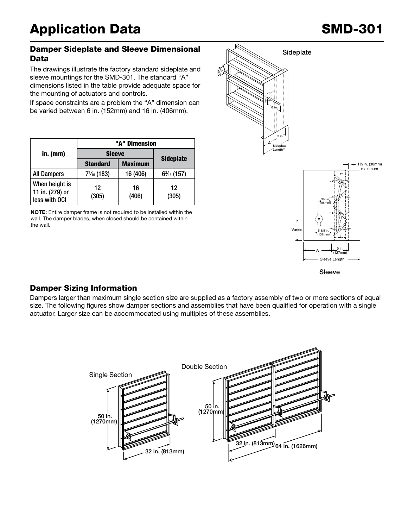#### Damper Sideplate and Sleeve Dimensional Data

The drawings illustrate the factory standard sideplate and sleeve mountings for the SMD-301. The standard "A" dimensions listed in the table provide adequate space for the mounting of actuators and controls.

If space constraints are a problem the "A" dimension can be varied between 6 in. (152mm) and 16 in. (406mm).

|                                                    |                 | "A" Dimension  |                  |  |  |
|----------------------------------------------------|-----------------|----------------|------------------|--|--|
| in. $(mm)$                                         | <b>Sleeve</b>   |                | <b>Sideplate</b> |  |  |
|                                                    | <b>Standard</b> | <b>Maximum</b> |                  |  |  |
| <b>All Dampers</b>                                 | 73/16 (183)     | 16 (406)       | $6\%$ (157)      |  |  |
| When height is<br>11 in. (279) or<br>less with OCI | 12<br>(305)     | 16<br>(406)    | 12<br>(305)      |  |  |

NOTE: Entire damper frame is not required to be installed within the wall. The damper blades, when closed should be contained within the wall.





Sleeve

### Damper Sizing Information

Dampers larger than maximum single section size are supplied as a factory assembly of two or more sections of equal size. The following figures show damper sections and assemblies that have been qualified for operation with a single actuator. Larger size can be accommodated using multiples of these assemblies. S